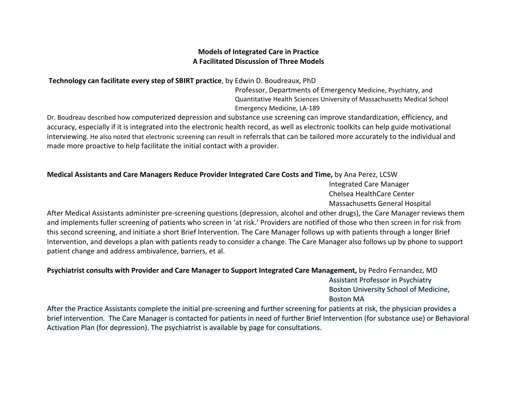## **Models of Integrated Care in Practice A Facilitated Discussion of Three Models**

**Technology can facilitate every step of SBIRT practice**, by Edwin D. Boudreaux, PhD

Professor, Departments of Emergency Medicine, Psychiatry, and Quantitative Health Sciences University of Massachusetts Medical School Emergency Medicine, LA‐189

Dr. Boudreau described how computerized depression and substance use screening can improve standardization, efficiency, and accuracy, especially if it is integrated into the electronic health record, as well as electronic toolkits can help guide motivational interviewing. He also noted that electronic screening can result in referrals that can be tailored more accurately to the individual and made more proactive to help facilitate the initial contact with <sup>a</sup> provider.

## **Medical Assistants and Care Managers Reduce Provider Integrated Care Costs and Time,** by Ana Perez, LCSW

Integrated Care Manager Chelsea HealthCare Center Massachusetts General Hospital

After Medical Assistants administer pre‐screening questions (depression, alcohol and other drugs), the Care Manager reviews them and implements fuller screening of patients who screen in 'at risk.' Providers are notified of those who then screen in for risk from this second screening, and initiate <sup>a</sup> short Brief Intervention. The Care Manager follows up with patients through <sup>a</sup> longer Brief Intervention, and develops <sup>a</sup> plan with patients ready to consider <sup>a</sup> change. The Care Manager also follows up by phone to support patient change and address ambivalence, barriers, et al.

## **Psychiatrist consults with Provider and Care Manager to Support Integrated Care Management,** by Pedro Fernandez, MD

Assistant Professor in Psychiatry Boston University School of Medicine, Boston MA

After the Practice Assistants complete the initial pre‐screening and further screening for patients at risk, the physician provides <sup>a</sup> brief intervention. The Care Manager is contacted for patients in need of further Brief Intervention (for substance use) or Behavioral Activation Plan (for depression). The psychiatrist is available by page for consultations.